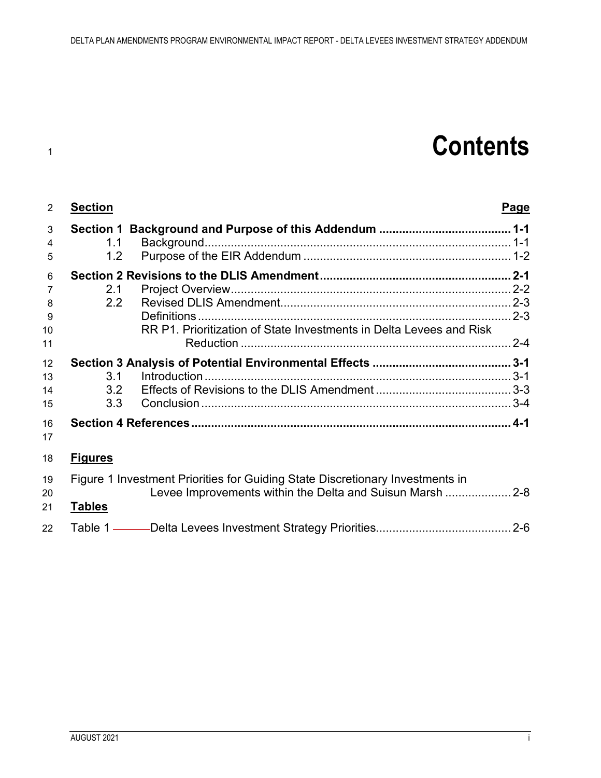# **Contents**

| 2              | <b>Section</b>                                                                |                                                                     | <b>Page</b> |
|----------------|-------------------------------------------------------------------------------|---------------------------------------------------------------------|-------------|
| 3<br>4         | 1.1                                                                           |                                                                     |             |
| 5              | 1.2 <sub>1</sub>                                                              |                                                                     |             |
| 6              |                                                                               |                                                                     |             |
| $\overline{7}$ | 2.1                                                                           |                                                                     |             |
| 8              | 2.2                                                                           |                                                                     |             |
| 9              |                                                                               |                                                                     |             |
| 10             |                                                                               | RR P1. Prioritization of State Investments in Delta Levees and Risk |             |
| 11             |                                                                               |                                                                     |             |
| 12             |                                                                               |                                                                     |             |
| 13             | 3.1                                                                           |                                                                     |             |
| 14             |                                                                               |                                                                     |             |
| 15             | 3.3 <sub>2</sub>                                                              |                                                                     |             |
| 16<br>17       |                                                                               |                                                                     |             |
| 18             | <b>Figures</b>                                                                |                                                                     |             |
| 19<br>20       | Figure 1 Investment Priorities for Guiding State Discretionary Investments in |                                                                     |             |
| 21             | <b>Tables</b>                                                                 |                                                                     |             |
| 22             |                                                                               |                                                                     |             |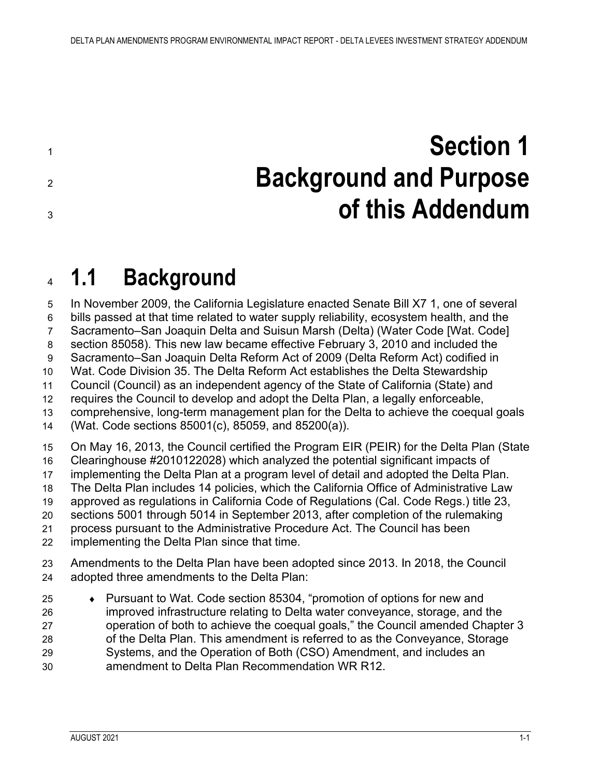<span id="page-2-0"></span> **Section 1 Background and Purpose of this Addendum**

## <span id="page-2-1"></span>**1.1 Background**

 In November 2009, the California Legislature enacted Senate Bill X7 1, one of several bills passed at that time related to water supply reliability, ecosystem health, and the Sacramento–San Joaquin Delta and Suisun Marsh (Delta) (Water Code [Wat. Code] section 85058). This new law became effective February 3, 2010 and included the Sacramento–San Joaquin Delta Reform Act of 2009 (Delta Reform Act) codified in Wat. Code Division 35. The Delta Reform Act establishes the Delta Stewardship Council (Council) as an independent agency of the State of California (State) and requires the Council to develop and adopt the Delta Plan, a legally enforceable, comprehensive, long-term management plan for the Delta to achieve the coequal goals (Wat. Code sections 85001(c), 85059, and 85200(a)). On May 16, 2013, the Council certified the Program EIR (PEIR) for the Delta Plan (State Clearinghouse #2010122028) which analyzed the potential significant impacts of implementing the Delta Plan at a program level of detail and adopted the Delta Plan. The Delta Plan includes 14 policies, which the California Office of Administrative Law approved as regulations in California Code of Regulations (Cal. Code Regs.) title 23, sections 5001 through 5014 in September 2013, after completion of the rulemaking process pursuant to the Administrative Procedure Act. The Council has been implementing the Delta Plan since that time. Amendments to the Delta Plan have been adopted since 2013. In 2018, the Council adopted three amendments to the Delta Plan: ♦ Pursuant to Wat. Code section 85304, "promotion of options for new and improved infrastructure relating to Delta water conveyance, storage, and the operation of both to achieve the coequal goals," the Council amended Chapter 3

 of the Delta Plan. This amendment is referred to as the Conveyance, Storage Systems, and the Operation of Both (CSO) Amendment, and includes an amendment to Delta Plan Recommendation WR R12.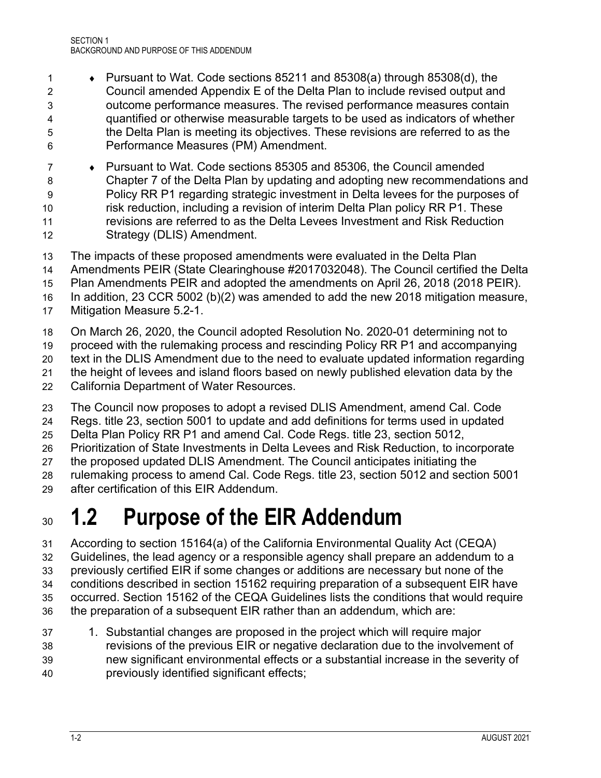- ♦ Pursuant to Wat. Code sections 85211 and 85308(a) through 85308(d), the Council amended Appendix E of the Delta Plan to include revised output and outcome performance measures. The revised performance measures contain quantified or otherwise measurable targets to be used as indicators of whether the Delta Plan is meeting its objectives. These revisions are referred to as the Performance Measures (PM) Amendment.
- ♦ Pursuant to Wat. Code sections 85305 and 85306, the Council amended Chapter 7 of the Delta Plan by updating and adopting new recommendations and Policy RR P1 regarding strategic investment in Delta levees for the purposes of risk reduction, including a revision of interim Delta Plan policy RR P1. These revisions are referred to as the Delta Levees Investment and Risk Reduction Strategy (DLIS) Amendment.
- The impacts of these proposed amendments were evaluated in the Delta Plan
- Amendments PEIR (State Clearinghouse #2017032048). The Council certified the Delta
- Plan Amendments PEIR and adopted the amendments on April 26, 2018 (2018 PEIR).
- In addition, 23 CCR 5002 (b)(2) was amended to add the new 2018 mitigation measure,
- Mitigation Measure 5.2-1.
- On March 26, 2020, the Council adopted Resolution No. 2020-01 determining not to
- proceed with the rulemaking process and rescinding Policy RR P1 and accompanying
- text in the DLIS Amendment due to the need to evaluate updated information regarding
- the height of levees and island floors based on newly published elevation data by the
- California Department of Water Resources.
- The Council now proposes to adopt a revised DLIS Amendment, amend Cal. Code
- Regs. title 23, section 5001 to update and add definitions for terms used in updated
- Delta Plan Policy RR P1 and amend Cal. Code Regs. title 23, section 5012,
- Prioritization of State Investments in Delta Levees and Risk Reduction, to incorporate
- the proposed updated DLIS Amendment. The Council anticipates initiating the
- rulemaking process to amend Cal. Code Regs. title 23, section 5012 and section 5001
- after certification of this EIR Addendum.

## <span id="page-3-0"></span>**1.2 Purpose of the EIR Addendum**

- According to section 15164(a) of the California Environmental Quality Act (CEQA) Guidelines, the lead agency or a responsible agency shall prepare an addendum to a previously certified EIR if some changes or additions are necessary but none of the conditions described in section 15162 requiring preparation of a subsequent EIR have occurred. Section 15162 of the CEQA Guidelines lists the conditions that would require the preparation of a subsequent EIR rather than an addendum, which are:
- 1. Substantial changes are proposed in the project which will require major revisions of the previous EIR or negative declaration due to the involvement of new significant environmental effects or a substantial increase in the severity of previously identified significant effects;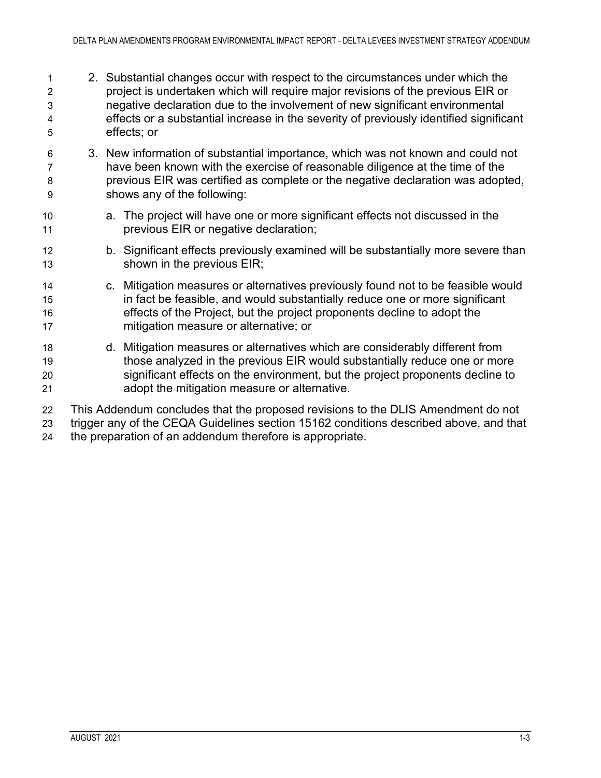- 2. Substantial changes occur with respect to the circumstances under which the project is undertaken which will require major revisions of the previous EIR or negative declaration due to the involvement of new significant environmental effects or a substantial increase in the severity of previously identified significant effects; or
- 3. New information of substantial importance, which was not known and could not have been known with the exercise of reasonable diligence at the time of the previous EIR was certified as complete or the negative declaration was adopted, shows any of the following:
- a. The project will have one or more significant effects not discussed in the previous EIR or negative declaration;
- b. Significant effects previously examined will be substantially more severe than shown in the previous EIR;
- c. Mitigation measures or alternatives previously found not to be feasible would in fact be feasible, and would substantially reduce one or more significant effects of the Project, but the project proponents decline to adopt the mitigation measure or alternative; or
- d. Mitigation measures or alternatives which are considerably different from those analyzed in the previous EIR would substantially reduce one or more significant effects on the environment, but the project proponents decline to adopt the mitigation measure or alternative.
- This Addendum concludes that the proposed revisions to the DLIS Amendment do not trigger any of the CEQA Guidelines section 15162 conditions described above, and that the preparation of an addendum therefore is appropriate.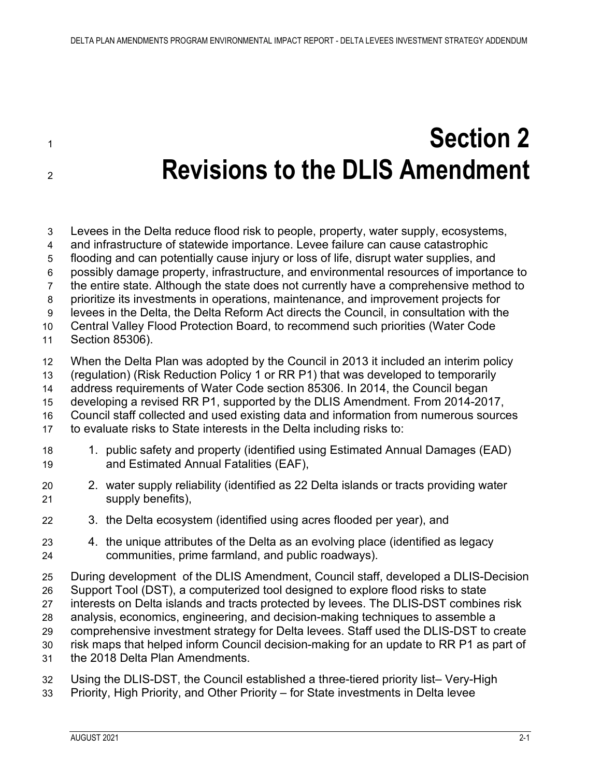# <span id="page-6-0"></span> **Section 2 Revisions to the DLIS Amendment**

- Levees in the Delta reduce flood risk to people, property, water supply, ecosystems, and infrastructure of statewide importance. Levee failure can cause catastrophic flooding and can potentially cause injury or loss of life, disrupt water supplies, and possibly damage property, infrastructure, and environmental resources of importance to the entire state. Although the state does not currently have a comprehensive method to prioritize its investments in operations, maintenance, and improvement projects for levees in the Delta, the Delta Reform Act directs the Council, in consultation with the Central Valley Flood Protection Board, to recommend such priorities (Water Code Section 85306). When the Delta Plan was adopted by the Council in 2013 it included an interim policy (regulation) (Risk Reduction Policy 1 or RR P1) that was developed to temporarily address requirements of Water Code section 85306. In 2014, the Council began developing a revised RR P1, supported by the DLIS Amendment. From 2014-2017, Council staff collected and used existing data and information from numerous sources to evaluate risks to State interests in the Delta including risks to: 1. public safety and property (identified using Estimated Annual Damages (EAD) and Estimated Annual Fatalities (EAF), 2. water supply reliability (identified as 22 Delta islands or tracts providing water supply benefits), 3. the Delta ecosystem (identified using acres flooded per year), and 4. the unique attributes of the Delta as an evolving place (identified as legacy communities, prime farmland, and public roadways). During development of the DLIS Amendment, Council staff, developed a DLIS-Decision Support Tool (DST), a computerized tool designed to explore flood risks to state interests on Delta islands and tracts protected by levees. The DLIS-DST combines risk analysis, economics, engineering, and decision-making techniques to assemble a comprehensive investment strategy for Delta levees. Staff used the DLIS-DST to create risk maps that helped inform Council decision-making for an update to RR P1 as part of the 2018 Delta Plan Amendments. Using the DLIS-DST, the Council established a three-tiered priority list– Very-High
- Priority, High Priority, and Other Priority for State investments in Delta levee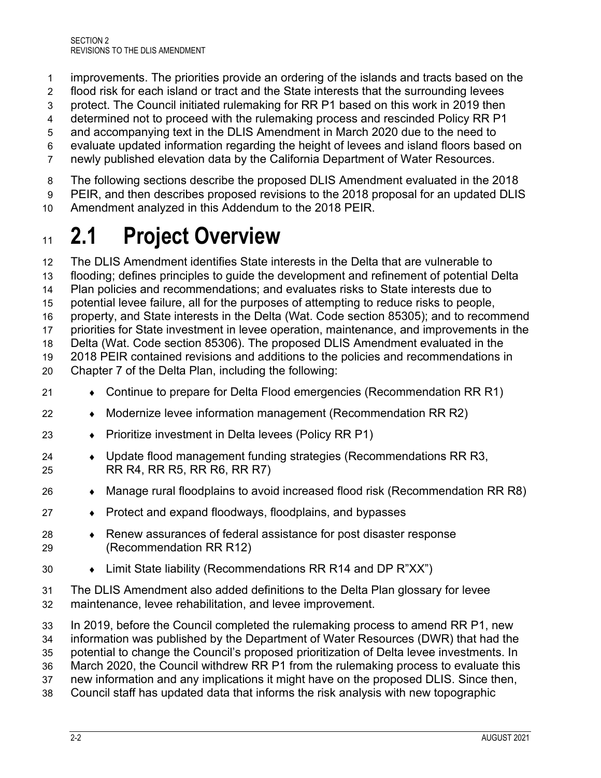- improvements. The priorities provide an ordering of the islands and tracts based on the
- flood risk for each island or tract and the State interests that the surrounding levees
- protect. The Council initiated rulemaking for RR P1 based on this work in 2019 then
- determined not to proceed with the rulemaking process and rescinded Policy RR P1
- and accompanying text in the DLIS Amendment in March 2020 due to the need to
- evaluate updated information regarding the height of levees and island floors based on
- newly published elevation data by the California Department of Water Resources.
- The following sections describe the proposed DLIS Amendment evaluated in the 2018
- PEIR, and then describes proposed revisions to the 2018 proposal for an updated DLIS
- Amendment analyzed in this Addendum to the 2018 PEIR.

## <span id="page-7-0"></span>**2.1 Project Overview**

 The DLIS Amendment identifies State interests in the Delta that are vulnerable to flooding; defines principles to guide the development and refinement of potential Delta Plan policies and recommendations; and evaluates risks to State interests due to potential levee failure, all for the purposes of attempting to reduce risks to people, property, and State interests in the Delta (Wat. Code section 85305); and to recommend priorities for State investment in levee operation, maintenance, and improvements in the Delta (Wat. Code section 85306). The proposed DLIS Amendment evaluated in the 2018 PEIR contained revisions and additions to the policies and recommendations in Chapter 7 of the Delta Plan, including the following:

- 21 Continue to prepare for Delta Flood emergencies (Recommendation RR R1)
- ♦ Modernize levee information management (Recommendation RR R2)
- ♦ Prioritize investment in Delta levees (Policy RR P1)
- ♦ Update flood management funding strategies (Recommendations RR R3, RR R4, RR R5, RR R6, RR R7)
- ♦ Manage rural floodplains to avoid increased flood risk (Recommendation RR R8)
- ♦ Protect and expand floodways, floodplains, and bypasses
- $28 \rightarrow$  Renew assurances of federal assistance for post disaster response (Recommendation RR R12)
- ♦ Limit State liability (Recommendations RR R14 and DP R"XX")
- The DLIS Amendment also added definitions to the Delta Plan glossary for levee maintenance, levee rehabilitation, and levee improvement.
- In 2019, before the Council completed the rulemaking process to amend RR P1, new
- information was published by the Department of Water Resources (DWR) that had the
- potential to change the Council's proposed prioritization of Delta levee investments. In
- March 2020, the Council withdrew RR P1 from the rulemaking process to evaluate this
- new information and any implications it might have on the proposed DLIS. Since then,
- Council staff has updated data that informs the risk analysis with new topographic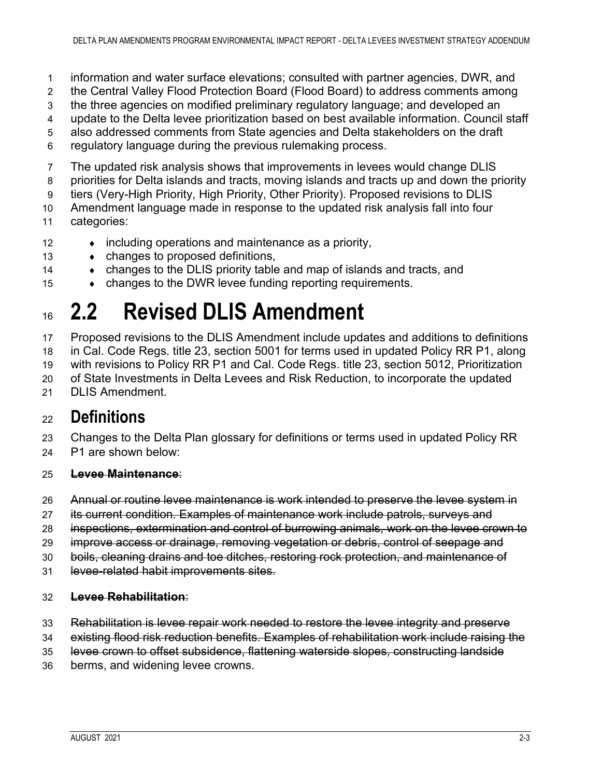- information and water surface elevations; consulted with partner agencies, DWR, and
- the Central Valley Flood Protection Board (Flood Board) to address comments among
- the three agencies on modified preliminary regulatory language; and developed an
- update to the Delta levee prioritization based on best available information. Council staff
- also addressed comments from State agencies and Delta stakeholders on the draft
- regulatory language during the previous rulemaking process.
- The updated risk analysis shows that improvements in levees would change DLIS
- priorities for Delta islands and tracts, moving islands and tracts up and down the priority
- tiers (Very-High Priority, High Priority, Other Priority). Proposed revisions to DLIS
- Amendment language made in response to the updated risk analysis fall into four
- categories:
- 12  $\bullet$  including operations and maintenance as a priority,
- ♦ changes to proposed definitions,
- 14 changes to the DLIS priority table and map of islands and tracts, and
- 15 changes to the DWR levee funding reporting requirements.

## <span id="page-8-0"></span>**2.2 Revised DLIS Amendment**

 Proposed revisions to the DLIS Amendment include updates and additions to definitions in Cal. Code Regs. title 23, section 5001 for terms used in updated Policy RR P1, along with revisions to Policy RR P1 and Cal. Code Regs. title 23, section 5012, Prioritization of State Investments in Delta Levees and Risk Reduction, to incorporate the updated

21 DLIS Amendment

## <span id="page-8-1"></span>**Definitions**

 Changes to the Delta Plan glossary for definitions or terms used in updated Policy RR P1 are shown below:

### **Levee Maintenance**:

- Annual or routine levee maintenance is work intended to preserve the levee system in
- 27 its current condition. Examples of maintenance work include patrols, surveys and
- inspections, extermination and control of burrowing animals, work on the levee crown to
- improve access or drainage, removing vegetation or debris, control of seepage and
- boils, cleaning drains and toe ditches, restoring rock protection, and maintenance of
- 31 levee-related habit improvements sites.

### **Levee Rehabilitation**:

- Rehabilitation is levee repair work needed to restore the levee integrity and preserve
- existing flood risk reduction benefits. Examples of rehabilitation work include raising the
- levee crown to offset subsidence, flattening waterside slopes, constructing landside
- berms, and widening levee crowns.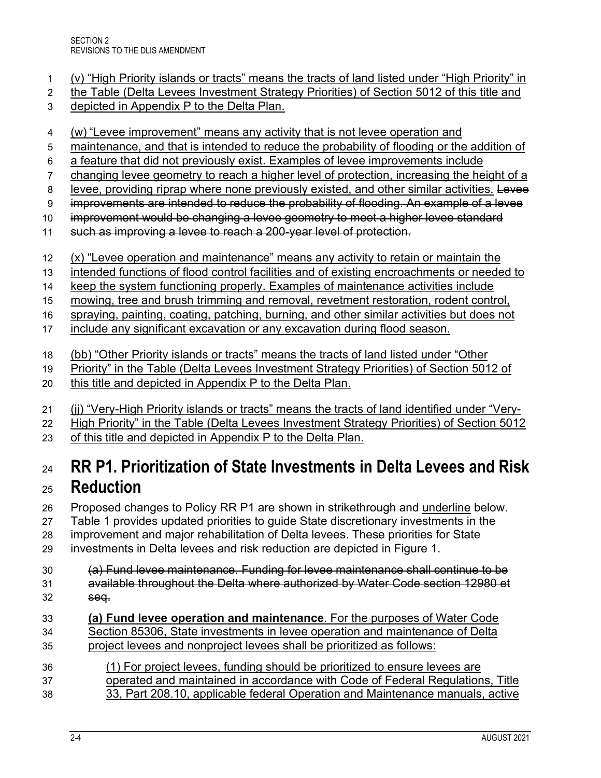- (v) "High Priority islands or tracts" means the tracts of land listed under "High Priority" in
- the Table (Delta Levees Investment Strategy Priorities) of Section 5012 of this title and
- depicted in Appendix P to the Delta Plan.
- (w) "Levee improvement" means any activity that is not levee operation and
- maintenance, and that is intended to reduce the probability of flooding or the addition of
- a feature that did not previously exist. Examples of levee improvements include
- changing levee geometry to reach a higher level of protection, increasing the height of a
- 8 levee, providing riprap where none previously existed, and other similar activities. Levee
- 9 improvements are intended to reduce the probability of flooding. An example of a levee
- 10 improvement would be changing a levee geometry to meet a higher levee standard
- 11 such as improving a levee to reach a 200-year level of protection.
- (x) "Levee operation and maintenance" means any activity to retain or maintain the
- 13 intended functions of flood control facilities and of existing encroachments or needed to
- 14 keep the system functioning properly. Examples of maintenance activities include
- mowing, tree and brush trimming and removal, revetment restoration, rodent control,
- spraying, painting, coating, patching, burning, and other similar activities but does not include any significant excavation or any excavation during flood season.
- 
- (bb) "Other Priority islands or tracts" means the tracts of land listed under "Other
- Priority" in the Table (Delta Levees Investment Strategy Priorities) of Section 5012 of
- this title and depicted in Appendix P to the Delta Plan.
- (jj) "Very-High Priority islands or tracts" means the tracts of land identified under "Very-
- High Priority" in the Table (Delta Levees Investment Strategy Priorities) of Section 5012
- of this title and depicted in Appendix P to the Delta Plan.

## <span id="page-9-0"></span> **RR P1. Prioritization of State Investments in Delta Levees and Risk Reduction**

- 26 Proposed changes to Policy RR P1 are shown in strikethrough and underline below. Table 1 provides updated priorities to guide State discretionary investments in the improvement and major rehabilitation of Delta levees. These priorities for State
- investments in Delta levees and risk reduction are depicted in Figure 1.
- (a) Fund levee maintenance. Funding for levee maintenance shall continue to be available throughout the Delta where authorized by Water Code section 12980 et seq.
- **(a) Fund levee operation and maintenance**. For the purposes of Water Code Section 85306, State investments in levee operation and maintenance of Delta project levees and nonproject levees shall be prioritized as follows:
- (1) For project levees, funding should be prioritized to ensure levees are operated and maintained in accordance with Code of Federal Regulations, Title
- 33, Part 208.10, applicable federal Operation and Maintenance manuals, active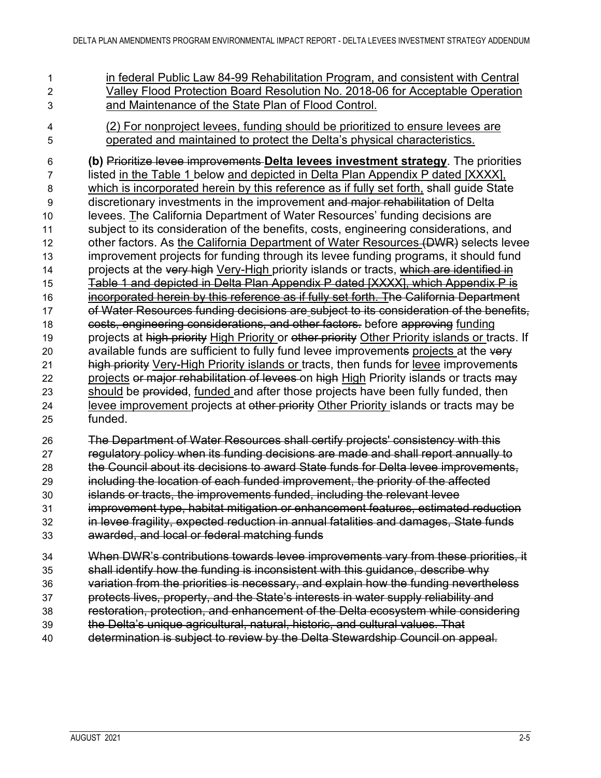in federal Public Law 84-99 Rehabilitation Program, and consistent with Central Valley Flood Protection Board Resolution No. 2018-06 for Acceptable Operation and Maintenance of the State Plan of Flood Control.

 (2) For nonproject levees, funding should be prioritized to ensure levees are operated and maintained to protect the Delta's physical characteristics.

 **(b)** Prioritize levee improvements **Delta levees investment strategy**. The priorities listed in the Table 1 below and depicted in Delta Plan Appendix P dated [XXXX], which is incorporated herein by this reference as if fully set forth, shall guide State discretionary investments in the improvement and major rehabilitation of Delta levees. The California Department of Water Resources' funding decisions are subject to its consideration of the benefits, costs, engineering considerations, and 12 other factors. As the California Department of Water Resources (DWR) selects levee improvement projects for funding through its levee funding programs, it should fund 14 projects at the very high Very-High priority islands or tracts, which are identified in 15 Table 1 and depicted in Delta Plan Appendix P dated [XXXX], which Appendix P is incorporated herein by this reference as if fully set forth. The California Department of Water Resources funding decisions are subject to its consideration of the benefits, costs, engineering considerations, and other factors. before approving funding 19 projects at high priority High Priority or other priority Other Priority islands or tracts. If 20 available funds are sufficient to fully fund levee improvements projects at the very 21 high priority Very-High Priority islands or tracts, then funds for levee improvements 22 projects or major rehabilitation of levees on high High Priority islands or tracts may 23 should be provided, funded and after those projects have been fully funded, then 24 levee improvement projects at other priority Other Priority islands or tracts may be funded.

 The Department of Water Resources shall certify projects' consistency with this regulatory policy when its funding decisions are made and shall report annually to the Council about its decisions to award State funds for Delta levee improvements, including the location of each funded improvement, the priority of the affected islands or tracts, the improvements funded, including the relevant levee improvement type, habitat mitigation or enhancement features, estimated reduction in levee fragility, expected reduction in annual fatalities and damages, State funds

awarded, and local or federal matching funds

 When DWR's contributions towards levee improvements vary from these priorities, it shall identify how the funding is inconsistent with this guidance, describe why

- variation from the priorities is necessary, and explain how the funding nevertheless
- protects lives, property, and the State's interests in water supply reliability and
- restoration, protection, and enhancement of the Delta ecosystem while considering
- the Delta's unique agricultural, natural, historic, and cultural values. That
- determination is subject to review by the Delta Stewardship Council on appeal.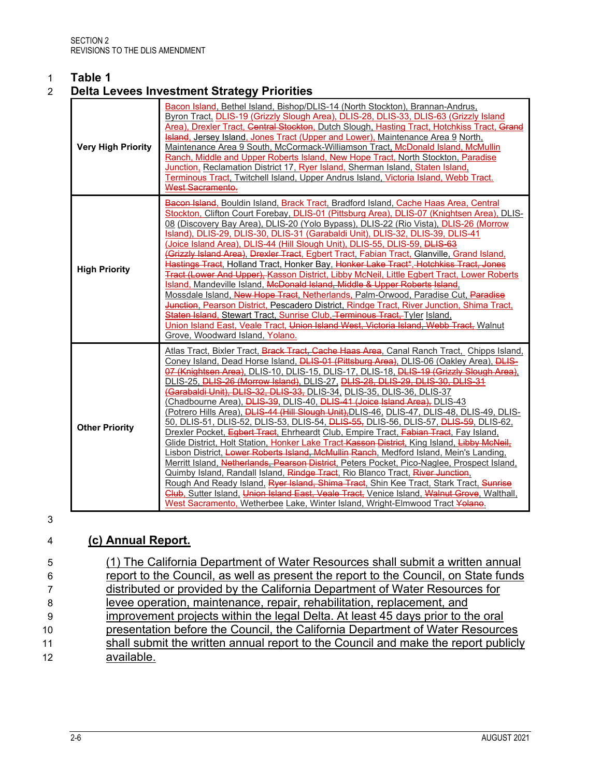## <span id="page-11-0"></span>1 **Table 1**

### 2 **Delta Levees Investment Strategy Priorities**

| <b>Very High Priority</b> | Bacon Island, Bethel Island, Bishop/DLIS-14 (North Stockton), Brannan-Andrus,<br>Byron Tract, DLIS-19 (Grizzly Slough Area), DLIS-28, DLIS-33, DLIS-63 (Grizzly Island<br>Area), Drexler Tract, Central Stockton, Dutch Slough, Hasting Tract, Hotchkiss Tract, Grand<br>Island, Jersey Island, Jones Tract (Upper and Lower), Maintenance Area 9 North,<br>Maintenance Area 9 South, McCormack-Williamson Tract, McDonald Island, McMullin<br>Ranch, Middle and Upper Roberts Island, New Hope Tract, North Stockton, Paradise<br>Junction, Reclamation District 17, Ryer Island, Sherman Island, Staten Island,<br>Terminous Tract, Twitchell Island, Upper Andrus Island, Victoria Island, Webb Tract.<br>West Sacramento.                                                                                                                                                                                                                                                                                                                                                                                                                                                                                                                                                                                                                                                                                                                                                              |
|---------------------------|--------------------------------------------------------------------------------------------------------------------------------------------------------------------------------------------------------------------------------------------------------------------------------------------------------------------------------------------------------------------------------------------------------------------------------------------------------------------------------------------------------------------------------------------------------------------------------------------------------------------------------------------------------------------------------------------------------------------------------------------------------------------------------------------------------------------------------------------------------------------------------------------------------------------------------------------------------------------------------------------------------------------------------------------------------------------------------------------------------------------------------------------------------------------------------------------------------------------------------------------------------------------------------------------------------------------------------------------------------------------------------------------------------------------------------------------------------------------------------------------|
| <b>High Priority</b>      | Bacon Island, Bouldin Island, Brack Tract, Bradford Island, Cache Haas Area, Central<br>Stockton, Clifton Court Forebay, DLIS-01 (Pittsburg Area), DLIS-07 (Knightsen Area), DLIS-<br>08 (Discovery Bay Area), DLIS-20 (Yolo Bypass), DLIS-22 (Rio Vista), DLIS-26 (Morrow<br>Island), DLIS-29, DLIS-30, DLIS-31 (Garabaldi Unit), DLIS-32, DLIS-39, DLIS-41<br>(Joice Island Area), DLIS-44 (Hill Slough Unit), DLIS-55, DLIS-59, <del>DLIS-63</del><br>(Grizzly Island Area), Drexler Tract, Egbert Tract, Fabian Tract, Glanville, Grand Island,<br>Hastings Tract, Holland Tract, Honker Bay, Honker Lake Tract*, Hotchkiss Tract, Jones<br>Tract (Lower And Upper), Kasson District, Libby McNeil, Little Egbert Tract, Lower Roberts<br>Island, Mandeville Island, McDonald Island, Middle & Upper Roberts Island.<br>Mossdale Island, New Hope Tract, Netherlands, Palm-Orwood, Paradise Cut, Paradise<br>Junction, Pearson District, Pescadero District, Rindge Tract, River Junction, Shima Tract,<br>Staten Island, Stewart Tract, Sunrise Club, Terminous Tract, Tyler Island,<br>Union Island East, Veale Tract, Union Island West, Victoria Island, Webb Tract, Walnut<br>Grove, Woodward Island, Yolano.                                                                                                                                                                                                                                                                     |
| <b>Other Priority</b>     | Atlas Tract, Bixler Tract, Brack Tract, Cache Haas Area, Canal Ranch Tract, Chipps Island,<br>Coney Island, Dead Horse Island, <b>DLIS-01 (Pittsburg Area)</b> , DLIS-06 (Oakley Area), DLIS-<br>07 (Knightsen Area), DLIS-10, DLIS-15, DLIS-17, DLIS-18, DLIS-19 (Grizzly Slough Area),<br>DLIS-25, DLIS-26 (Morrow Island), DLIS-27, DLIS-28, DLIS-29, DLIS-30, DLIS-31<br>(Garabaldi Unit), DLIS 32, DLIS 33, DLIS-34, DLIS-35, DLIS-36, DLIS-37<br>(Chadbourne Area), DLIS-39, DLIS-40, DLIS-41 (Joice Island Area), DLIS-43<br>(Potrero Hills Area), DLIS-44 (Hill Slough Unit), DLIS-46, DLIS-47, DLIS-48, DLIS-49, DLIS-<br>50, DLIS-51, DLIS-52, DLIS-53, DLIS-54, <del>DLIS-55,</del> DLIS-56, DLIS-57, <del>DLIS-59</del> , DLIS-62,<br>Drexler Pocket, Egbert Tract, Ehrheardt Club, Empire Tract, Fabian Tract, Fay Island,<br>Glide District, Holt Station, Honker Lake Tract Kasson District, King Island, Libby McNeil,<br>Lisbon District, Lower Roberts Island, McMullin Ranch, Medford Island, Mein's Landing,<br>Merritt Island, Netherlands, Pearson District, Peters Pocket, Pico-Naglee, Prospect Island,<br>Quimby Island, Randall Island, Rindge Tract, Rio Blanco Tract, River Junction,<br>Rough And Ready Island, Ryer Island, Shima Tract, Shin Kee Tract, Stark Tract, Sunrise<br>Glub, Sutter Island, Union Island East, Veale Tract, Venice Island, Walnut Grove, Walthall,<br>West Sacramento, Wetherbee Lake, Winter Island, Wright-Elmwood Tract Yolano. |

3

### 4 **(c) Annual Report.**

| - 5 | (1) The California Department of Water Resources shall submit a written annual      |
|-----|-------------------------------------------------------------------------------------|
| -6  | report to the Council, as well as present the report to the Council, on State funds |
|     | distributed or provided by the California Department of Water Resources for         |
| -8  | levee operation, maintenance, repair, rehabilitation, replacement, and              |
| -9  | improvement projects within the legal Delta. At least 45 days prior to the oral     |
| 10  | presentation before the Council, the California Department of Water Resources       |
| 11  | shall submit the written annual report to the Council and make the report publicly  |
| 12  | available.                                                                          |
|     |                                                                                     |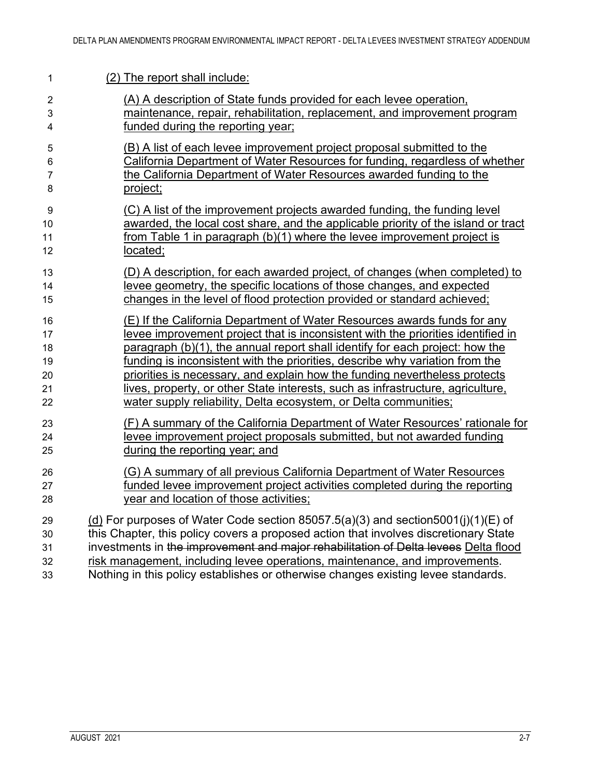| 1                       | (2) The report shall include:                                                        |
|-------------------------|--------------------------------------------------------------------------------------|
| $\overline{2}$          | (A) A description of State funds provided for each levee operation,                  |
| 3                       | maintenance, repair, rehabilitation, replacement, and improvement program            |
| $\overline{\mathbf{4}}$ | funded during the reporting year;                                                    |
| 5                       | (B) A list of each levee improvement project proposal submitted to the               |
| 6                       | California Department of Water Resources for funding, regardless of whether          |
| $\overline{7}$          | the California Department of Water Resources awarded funding to the                  |
| 8                       | project;                                                                             |
| 9                       | (C) A list of the improvement projects awarded funding, the funding level            |
| 10                      | awarded, the local cost share, and the applicable priority of the island or tract    |
| 11                      | from Table 1 in paragraph (b)(1) where the levee improvement project is              |
| 12                      | located;                                                                             |
| 13                      | (D) A description, for each awarded project, of changes (when completed) to          |
| 14                      | levee geometry, the specific locations of those changes, and expected                |
| 15                      | changes in the level of flood protection provided or standard achieved;              |
| 16                      | (E) If the California Department of Water Resources awards funds for any             |
| 17                      | levee improvement project that is inconsistent with the priorities identified in     |
| 18                      | paragraph (b)(1), the annual report shall identify for each project: how the         |
| 19                      | funding is inconsistent with the priorities, describe why variation from the         |
| 20                      | priorities is necessary, and explain how the funding nevertheless protects           |
| 21                      | lives, property, or other State interests, such as infrastructure, agriculture,      |
| 22                      | water supply reliability, Delta ecosystem, or Delta communities;                     |
| 23                      | (F) A summary of the California Department of Water Resources' rationale for         |
| 24                      | levee improvement project proposals submitted, but not awarded funding               |
| 25                      | during the reporting year; and                                                       |
| 26                      | (G) A summary of all previous California Department of Water Resources               |
| 27                      | funded levee improvement project activities completed during the reporting           |
| 28                      | year and location of those activities;                                               |
| 29                      | (d) For purposes of Water Code section 85057.5(a)(3) and section5001(j)(1)(E) of     |
| 30                      | this Chapter, this policy covers a proposed action that involves discretionary State |
| 31                      | investments in the improvement and major rehabilitation of Delta levees Delta flood  |
| 32                      | risk management, including levee operations, maintenance, and improvements.          |
| 33                      | Nothing in this policy establishes or otherwise changes existing levee standards.    |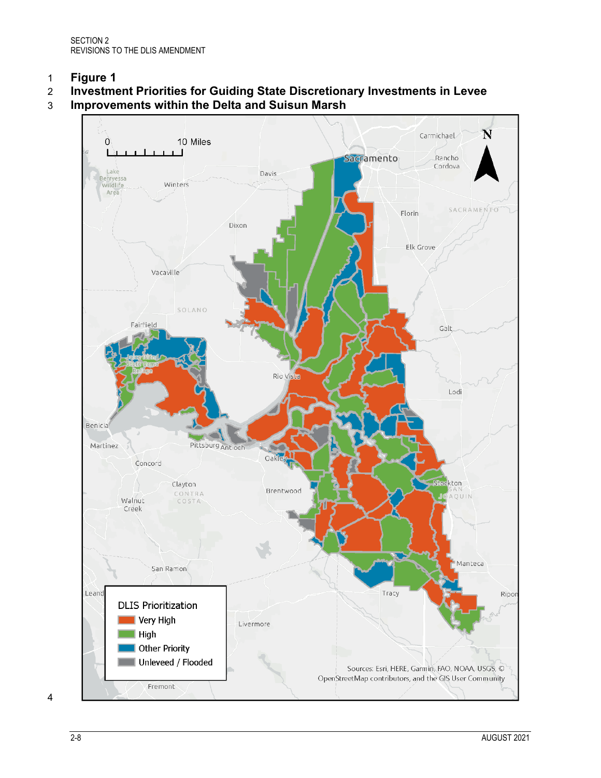<span id="page-13-0"></span>1 **Figure 1**

### 2 **Investment Priorities for Guiding State Discretionary Investments in Levee**

3 **Improvements within the Delta and Suisun Marsh**



4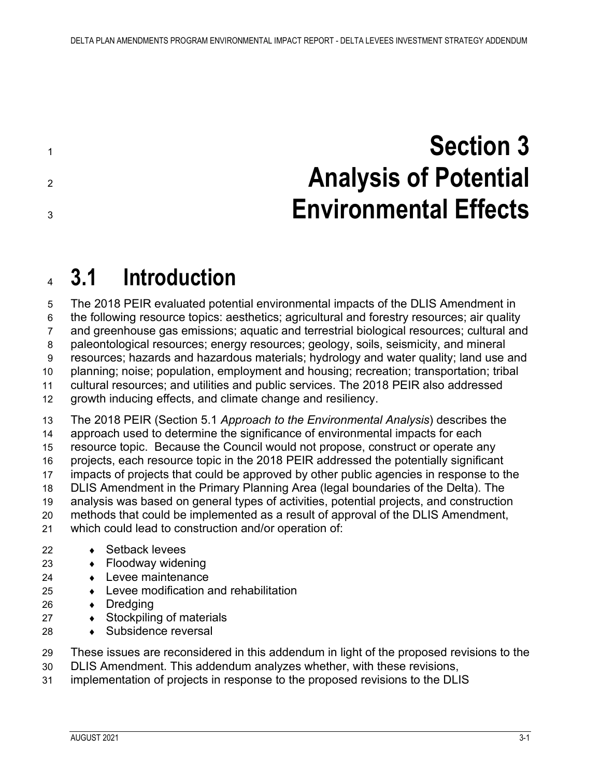<span id="page-14-0"></span> **Section 3 Analysis of Potential Environmental Effects**

## <span id="page-14-1"></span>**3.1 Introduction**

 The 2018 PEIR evaluated potential environmental impacts of the DLIS Amendment in the following resource topics: aesthetics; agricultural and forestry resources; air quality and greenhouse gas emissions; aquatic and terrestrial biological resources; cultural and paleontological resources; energy resources; geology, soils, seismicity, and mineral resources; hazards and hazardous materials; hydrology and water quality; land use and planning; noise; population, employment and housing; recreation; transportation; tribal cultural resources; and utilities and public services. The 2018 PEIR also addressed growth inducing effects, and climate change and resiliency. The 2018 PEIR (Section 5.1 *Approach to the Environmental Analysis*) describes the approach used to determine the significance of environmental impacts for each resource topic. Because the Council would not propose, construct or operate any projects, each resource topic in the 2018 PEIR addressed the potentially significant impacts of projects that could be approved by other public agencies in response to the DLIS Amendment in the Primary Planning Area (legal boundaries of the Delta). The analysis was based on general types of activities, potential projects, and construction methods that could be implemented as a result of approval of the DLIS Amendment, which could lead to construction and/or operation of:

- ♦ Setback levees
- ♦ Floodway widening
- 24 → Levee maintenance
- ♦ Levee modification and rehabilitation
- ♦ Dredging
- 27 ◆ Stockpiling of materials
- 28 → Subsidence reversal

These issues are reconsidered in this addendum in light of the proposed revisions to the

- DLIS Amendment. This addendum analyzes whether, with these revisions,
- implementation of projects in response to the proposed revisions to the DLIS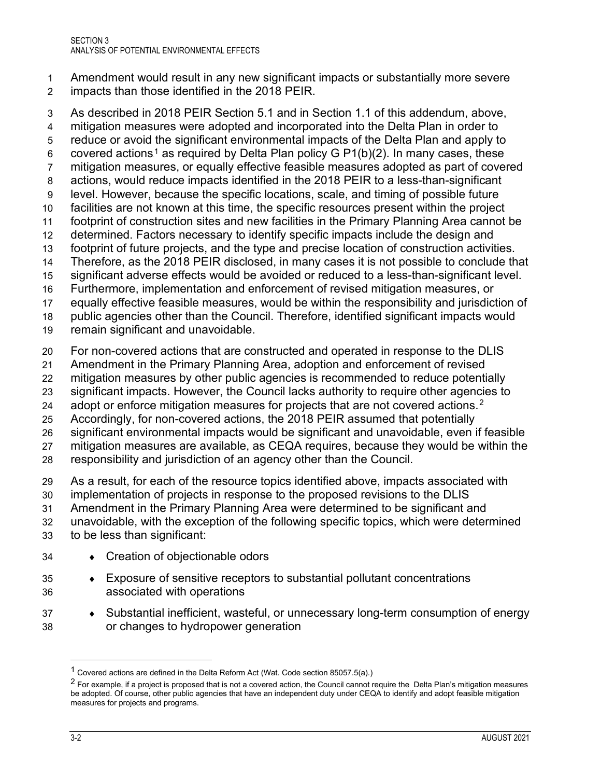- Amendment would result in any new significant impacts or substantially more severe impacts than those identified in the 2018 PEIR.
- As described in 2018 PEIR Section 5.1 and in Section 1.1 of this addendum, above,

mitigation measures were adopted and incorporated into the Delta Plan in order to

reduce or avoid the significant environmental impacts of the Delta Plan and apply to

6 covered actions<sup>1</sup> as required by Delta Plan policy G P1(b)(2). In many cases, these

mitigation measures, or equally effective feasible measures adopted as part of covered

- actions, would reduce impacts identified in the 2018 PEIR to a less-than-significant level. However, because the specific locations, scale, and timing of possible future
- facilities are not known at this time, the specific resources present within the project
- footprint of construction sites and new facilities in the Primary Planning Area cannot be
- determined. Factors necessary to identify specific impacts include the design and
- footprint of future projects, and the type and precise location of construction activities.
- Therefore, as the 2018 PEIR disclosed, in many cases it is not possible to conclude that
- significant adverse effects would be avoided or reduced to a less-than-significant level.
- Furthermore, implementation and enforcement of revised mitigation measures, or

equally effective feasible measures, would be within the responsibility and jurisdiction of

public agencies other than the Council. Therefore, identified significant impacts would

- remain significant and unavoidable.
- For non-covered actions that are constructed and operated in response to the DLIS
- Amendment in the Primary Planning Area, adoption and enforcement of revised
- mitigation measures by other public agencies is recommended to reduce potentially
- significant impacts. However, the Council lacks authority to require other agencies to
- $\phantom{1}$  adopt or enforce mitigation measures for projects that are not covered actions. $^2$
- Accordingly, for non-covered actions, the 2018 PEIR assumed that potentially
- significant environmental impacts would be significant and unavoidable, even if feasible
- mitigation measures are available, as CEQA requires, because they would be within the
- responsibility and jurisdiction of an agency other than the Council.

As a result, for each of the resource topics identified above, impacts associated with

- implementation of projects in response to the proposed revisions to the DLIS
- Amendment in the Primary Planning Area were determined to be significant and
- unavoidable, with the exception of the following specific topics, which were determined

to be less than significant:

- ♦ Creation of objectionable odors
- ♦ Exposure of sensitive receptors to substantial pollutant concentrations associated with operations
- ♦ Substantial inefficient, wasteful, or unnecessary long-term consumption of energy or changes to hydropower generation

Covered actions are defined in the Delta Reform Act (Wat. Code section 85057.5(a).)

<sup>&</sup>lt;sup>2</sup> For example, if a project is proposed that is not a covered action, the Council cannot require the Delta Plan's mitigation measures be adopted. Of course, other public agencies that have an independent duty under CEQA to identify and adopt feasible mitigation measures for projects and programs.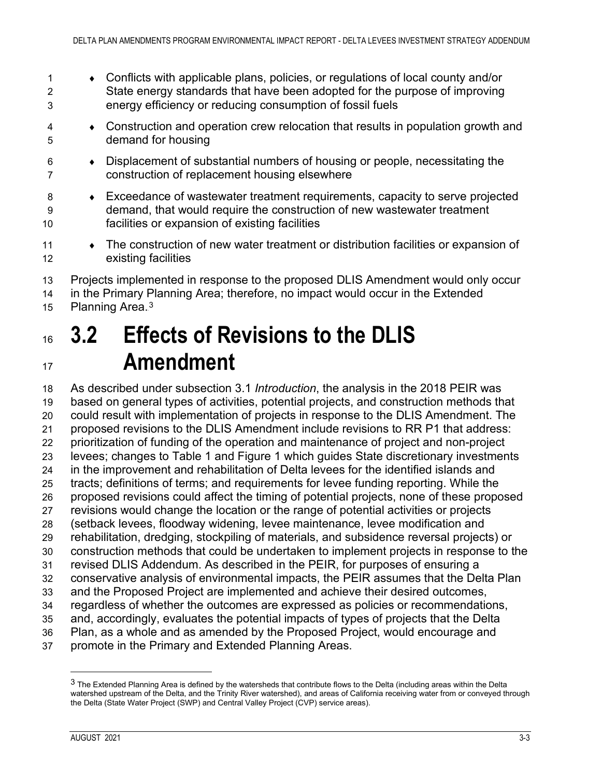- ♦ Conflicts with applicable plans, policies, or regulations of local county and/or State energy standards that have been adopted for the purpose of improving energy efficiency or reducing consumption of fossil fuels
- ♦ Construction and operation crew relocation that results in population growth and demand for housing
- ♦ Displacement of substantial numbers of housing or people, necessitating the construction of replacement housing elsewhere
- ♦ Exceedance of wastewater treatment requirements, capacity to serve projected demand, that would require the construction of new wastewater treatment facilities or expansion of existing facilities
- 11 The construction of new water treatment or distribution facilities or expansion of existing facilities
- Projects implemented in response to the proposed DLIS Amendment would only occur in the Primary Planning Area; therefore, no impact would occur in the Extended
- 15 Planning Area.<sup>3</sup>

## <span id="page-16-0"></span> **3.2 Effects of Revisions to the DLIS Amendment**

 As described under subsection 3.1 *Introduction*, the analysis in the 2018 PEIR was based on general types of activities, potential projects, and construction methods that could result with implementation of projects in response to the DLIS Amendment. The proposed revisions to the DLIS Amendment include revisions to RR P1 that address: prioritization of funding of the operation and maintenance of project and non-project levees; changes to Table 1 and Figure 1 which guides State discretionary investments in the improvement and rehabilitation of Delta levees for the identified islands and tracts; definitions of terms; and requirements for levee funding reporting. While the proposed revisions could affect the timing of potential projects, none of these proposed revisions would change the location or the range of potential activities or projects (setback levees, floodway widening, levee maintenance, levee modification and rehabilitation, dredging, stockpiling of materials, and subsidence reversal projects) or construction methods that could be undertaken to implement projects in response to the revised DLIS Addendum. As described in the PEIR, for purposes of ensuring a conservative analysis of environmental impacts, the PEIR assumes that the Delta Plan and the Proposed Project are implemented and achieve their desired outcomes, regardless of whether the outcomes are expressed as policies or recommendations, and, accordingly, evaluates the potential impacts of types of projects that the Delta Plan, as a whole and as amended by the Proposed Project, would encourage and

promote in the Primary and Extended Planning Areas.

 The Extended Planning Area is defined by the watersheds that contribute flows to the Delta (including areas within the Delta watershed upstream of the Delta, and the Trinity River watershed), and areas of California receiving water from or conveyed through the Delta (State Water Project (SWP) and Central Valley Project (CVP) service areas).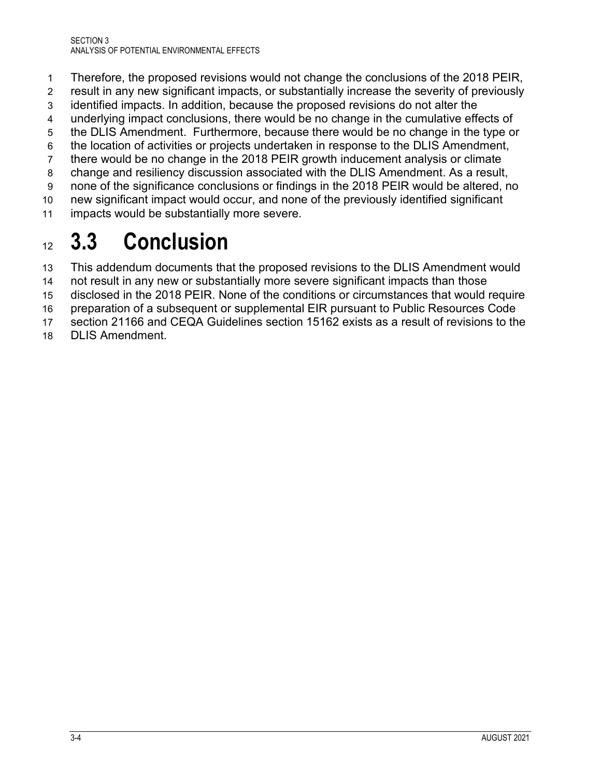- Therefore, the proposed revisions would not change the conclusions of the 2018 PEIR,
- result in any new significant impacts, or substantially increase the severity of previously
- identified impacts. In addition, because the proposed revisions do not alter the
- underlying impact conclusions, there would be no change in the cumulative effects of
- the DLIS Amendment. Furthermore, because there would be no change in the type or
- the location of activities or projects undertaken in response to the DLIS Amendment,
- there would be no change in the 2018 PEIR growth inducement analysis or climate
- change and resiliency discussion associated with the DLIS Amendment. As a result,
- none of the significance conclusions or findings in the 2018 PEIR would be altered, no
- new significant impact would occur, and none of the previously identified significant impacts would be substantially more severe.

## <span id="page-17-0"></span>**3.3 Conclusion**

- This addendum documents that the proposed revisions to the DLIS Amendment would
- not result in any new or substantially more severe significant impacts than those
- disclosed in the 2018 PEIR. None of the conditions or circumstances that would require
- preparation of a subsequent or supplemental EIR pursuant to Public Resources Code
- section 21166 and CEQA Guidelines section 15162 exists as a result of revisions to the
- DLIS Amendment.